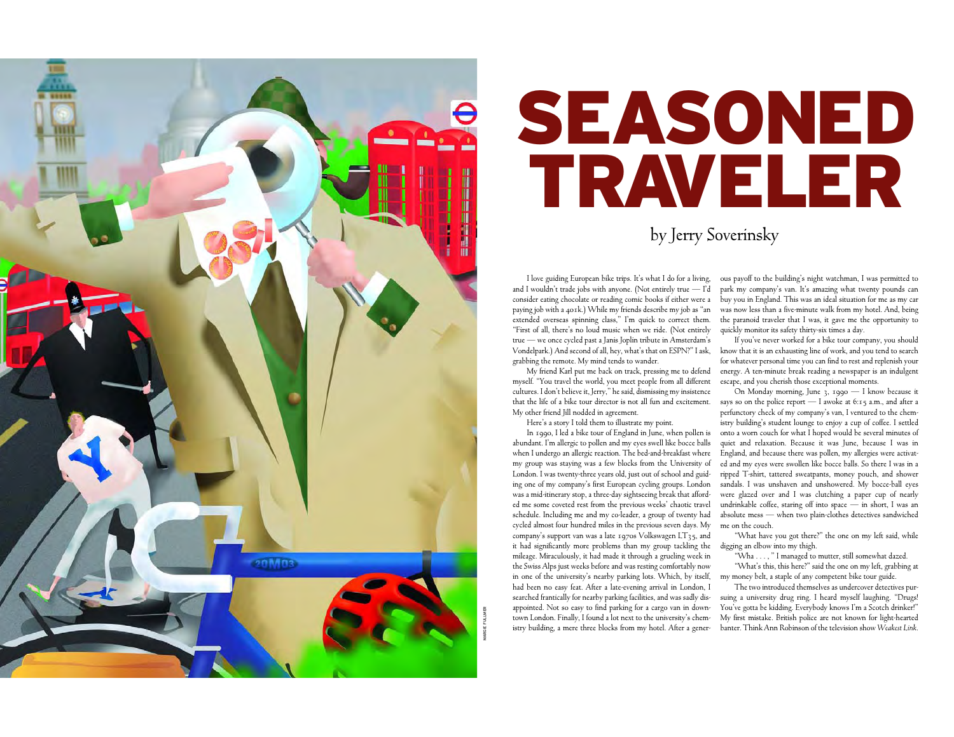

## SEASONEDTRAVELER

by Jerry Soverinsky

I love guiding European bike trips. It's what I do for a living, and I wouldn't trade jobs with anyone. (Not entirely true  $-$  I'd consider eating chocolate or reading comic books if either were a paying job with a 401k.) While my friends describe my job as "an extended overseas spinning class," I'm quick to correct them. "First of all, there's no loud music when we ride. (Not entirely true — we once cycled past a Janis Joplin tribute in Amsterdam's Vondelpark.) And second of all, hey, what's that on ESPN?" I ask, know that it is an exhausting line of work, and you tend to search grabbing the remote. My mind tends to wander.

My friend Karl put me back on track, pressing me to defend myself. "You travel the world, you meet people from all different cultures. I don't believe it, Jerry," he said, dismissing my insistence that the life of a bike tour director is not all fun and excitement. My other friend Jill nodded in agreement.

Here's a story I told them to illustrate my point.

In 1990, I led a bike tour of England in June, when pollen is abundant. I'm allergic to pollen and my eyes swell like bocce balls when I undergo an allergic reaction. The bed-and-breakfast where my group was staying was a few blocks from the University of London. I was twenty-three years old, just out of school and guiding one of my company's first European cycling groups. London was a mid-itinerary stop, a three-day sightseeing break that afforded me some coveted rest from the previous weeks' chaotic travel schedule. Including me and my co-leader, a group of twenty had cycled almost four hundred miles in the previous seven days. My company's support van was a late 1970s Volkswagen LT35, and it had significantly more problems than my group tackling the digging an elbow into my thigh. mileage. Miraculously, it had made it through a grueling week in the Swiss Alps just weeks before and was resting comfortably now in one of the university's nearby parking lots. Which, by itself, had been no easy feat. After a late-evening arrival in London, I searched frantically for nearby parking facilities, and was sadly disappointed. Not so easy to find parking for a cargo van in downtown London. Finally, I found a lot next to the university's chemistry building, a mere three blocks from my hotel. After a gener-

ous payoff to the building's night watchman, I was permitted to park my company's van. It's amazing what twenty pounds can buy you in England. This was an ideal situation for me as my car was now less than a five-minute walk from my hotel. And, being the paranoid traveler that I was, it gave me the opportunity to quickly monitor its safety thirty-six times a day.

If you've never worked for a bike tour company, you should for whatever personal time you can find to rest and replenish your energy. A ten-minute break reading a newspaper is an indulgent escape, and you cherish those exceptional moments. On Monday morning, June 3, 1990 — I know because it

says so on the police report  $-1$  awoke at 6:15 a.m., and after a perfunctory check of my company's van, I ventured to the chem istry building's student lounge to enjoy a cup of coffee. I settled onto a worn couch for what I hoped would be several minutes of quiet and relaxation. Because it was June, because I was in England, and because there was pollen, my allergies were activat ed and my eyes were swollen like bocce balls. So there I was in a ripped T-shirt, tattered sweatpants, money pouch, and shower sandals. I was unshaven and unshowered. My bocce-ball eyes were glazed over and I was clutching a paper cup of nearly undrinkable coffee, staring off into space — in short, I was an absolute mess — when two plain-clothes detectives sandwiched

"What have you got there?" the one on my left said, while

"Wha . . . , " I managed to mutter, still somewhat dazed. "What's this, this here?" said the one on my left, grabbing at

my money belt, a staple of any competent bike tour guide. The two introduced themselves as undercover detectives pur suing a university drug ring. I heard myself laughing. "Drugs! You've gotta be kidding. Everybody knows I'm a Scotch drinker!" My first mistake. British police are not known for light-hearted

banter. Think Ann Robinson of the television show *Weakest Link*.